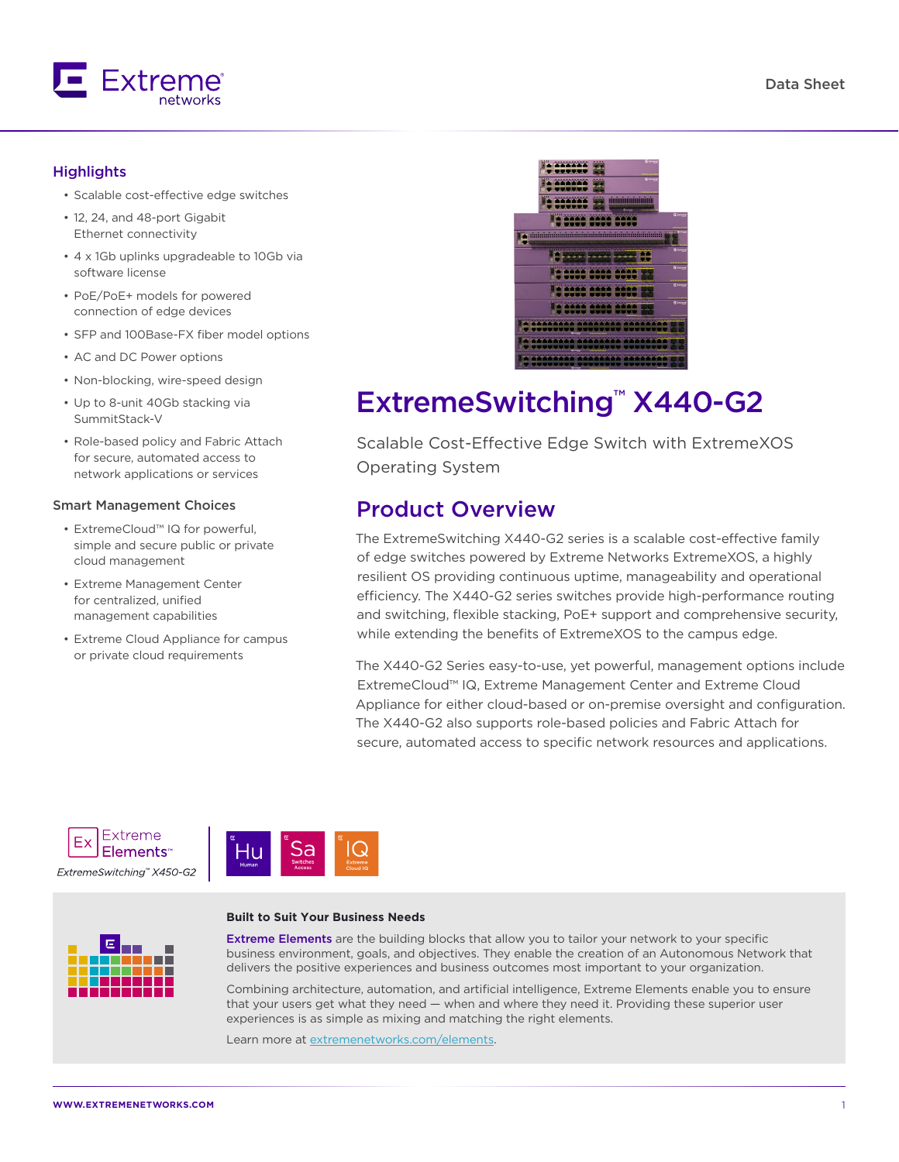

#### **Highlights**

- Scalable cost-effective edge switches
- 12, 24, and 48-port Gigabit Ethernet connectivity
- 4 x 1Gb uplinks upgradeable to 10Gb via software license
- PoE/PoE+ models for powered connection of edge devices
- SFP and 100Base-FX fiber model options
- AC and DC Power options
- Non-blocking, wire-speed design
- Up to 8-unit 40Gb stacking via SummitStack-V
- Role-based policy and Fabric Attach for secure, automated access to network applications or services

#### Smart Management Choices

- ExtremeCloud™ IQ for powerful, simple and secure public or private cloud management
- Extreme Management Center for centralized, unified management capabilities
- Extreme Cloud Appliance for campus or private cloud requirements

| <b>E</b> Extres<br>32                                         |                   |
|---------------------------------------------------------------|-------------------|
| <b>E Culvert</b><br>.<br>п<br><b><i><u>Property</u></i></b>   |                   |
| nimimimimimimimi<br>88<br><b>1999</b><br>۰<br><b>G</b> Longer |                   |
| $-11111$<br><b>STAR</b>                                       | <b>E</b> Gavens   |
| स्रा<br>٠<br>ę<br>***                                         | $-10$             |
| <b>CONTRACTOR</b><br><b>La Calculation</b><br>an a            | <b>II</b> Extreme |
| 1,32222                                                       | <b>E</b> town     |
| --                                                            | <b>E</b> town     |
| ---<br>.                                                      | <b>E</b> Given    |
| <u> 1988 - Andrews II</u><br>m.                               |                   |
| 1111111<br>٠<br>E۰                                            |                   |
| $-11111$<br>٠<br>٠<br>٠<br>٠<br>٠                             |                   |

### ExtremeSwitching™ X440-G2

Scalable Cost-Effective Edge Switch with ExtremeXOS Operating System

### Product Overview

The ExtremeSwitching X440-G2 series is a scalable cost-effective family of edge switches powered by Extreme Networks ExtremeXOS, a highly resilient OS providing continuous uptime, manageability and operational efficiency. The X440-G2 series switches provide high-performance routing and switching, flexible stacking, PoE+ support and comprehensive security, while extending the benefits of ExtremeXOS to the campus edge.

The X440-G2 Series easy-to-use, yet powerful, management options include ExtremeCloud™ IQ, Extreme Management Center and Extreme Cloud Appliance for either cloud-based or on-premise oversight and configuration. The X440-G2 also supports role-based policies and Fabric Attach for secure, automated access to specific network resources and applications.





#### **Built to Suit Your Business Needs**



Extreme Elements are the building blocks that allow you to tailor your network to your specific business environment, goals, and objectives. They enable the creation of an Autonomous Network that delivers the positive experiences and business outcomes most important to your organization.

Combining architecture, automation, and artificial intelligence, Extreme Elements enable you to ensure that your users get what they need — when and where they need it. Providing these superior user experiences is as simple as mixing and matching the right elements.

Learn more at [extremenetworks.com/elements](http://www.extremenetworks.com/elements/).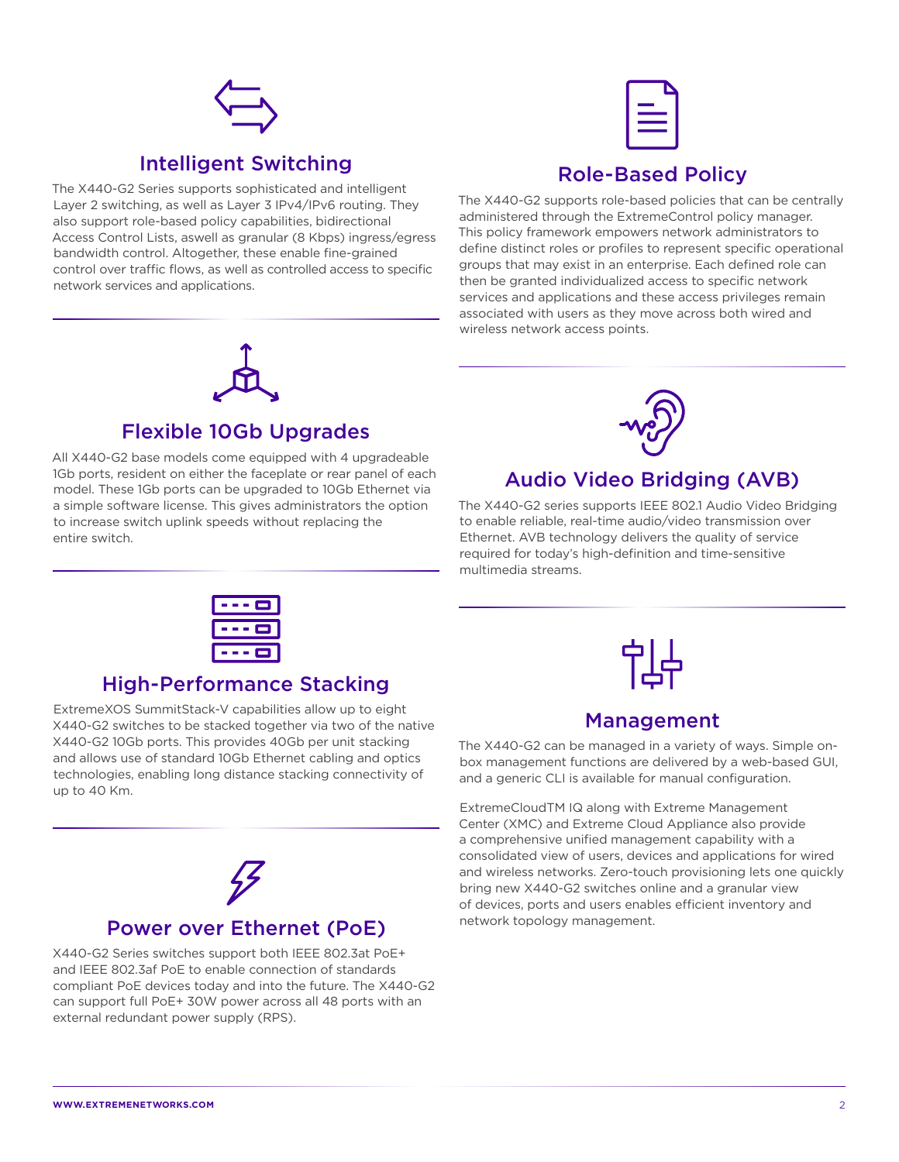# Intelligent Switching

The X440-G2 Series supports sophisticated and intelligent Layer 2 switching, as well as Layer 3 IPv4/IPv6 routing. They also support role-based policy capabilities, bidirectional Access Control Lists, aswell as granular (8 Kbps) ingress/egress bandwidth control. Altogether, these enable fine-grained control over traffic flows, as well as controlled access to specific network services and applications.



### Role-Based Policy

The X440-G2 supports role-based policies that can be centrally administered through the ExtremeControl policy manager. This policy framework empowers network administrators to define distinct roles or profiles to represent specific operational groups that may exist in an enterprise. Each defined role can then be granted individualized access to specific network services and applications and these access privileges remain associated with users as they move across both wired and wireless network access points.



### Flexible 10Gb Upgrades

All X440-G2 base models come equipped with 4 upgradeable 1Gb ports, resident on either the faceplate or rear panel of each model. These 1Gb ports can be upgraded to 10Gb Ethernet via a simple software license. This gives administrators the option to increase switch uplink speeds without replacing the entire switch.



### Audio Video Bridging (AVB)

The X440-G2 series supports IEEE 802.1 Audio Video Bridging to enable reliable, real-time audio/video transmission over Ethernet. AVB technology delivers the quality of service required for today's high-definition and time-sensitive multimedia streams.



### High-Performance Stacking

ExtremeXOS SummitStack-V capabilities allow up to eight X440-G2 switches to be stacked together via two of the native X440-G2 10Gb ports. This provides 40Gb per unit stacking and allows use of standard 10Gb Ethernet cabling and optics technologies, enabling long distance stacking connectivity of up to 40 Km.



X440-G2 Series switches support both IEEE 802.3at PoE+ and IEEE 802.3af PoE to enable connection of standards compliant PoE devices today and into the future. The X440-G2 can support full PoE+ 30W power across all 48 ports with an external redundant power supply (RPS).



### Management

The X440-G2 can be managed in a variety of ways. Simple onbox management functions are delivered by a web-based GUI, and a generic CLI is available for manual configuration.

ExtremeCloudTM IQ along with Extreme Management Center (XMC) and Extreme Cloud Appliance also provide a comprehensive unified management capability with a consolidated view of users, devices and applications for wired and wireless networks. Zero-touch provisioning lets one quickly bring new X440-G2 switches online and a granular view of devices, ports and users enables efficient inventory and network topology management.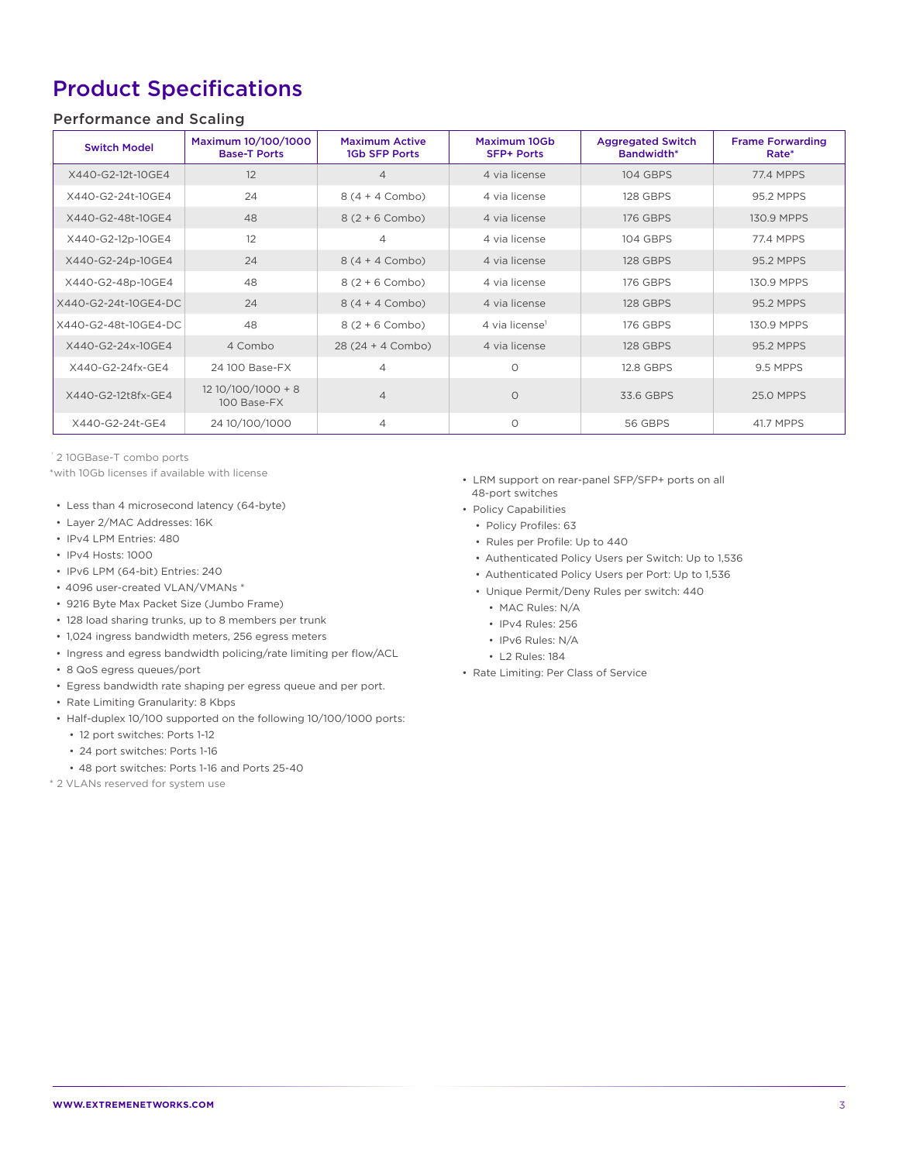### Product Specifications

#### Performance and Scaling

| <b>Switch Model</b>  | Maximum 10/100/1000<br><b>Base-T Ports</b> | <b>Maximum Active</b><br><b>1Gb SFP Ports</b> | Maximum 10Gb<br><b>SFP+ Ports</b> | <b>Aggregated Switch</b><br>Bandwidth* | <b>Frame Forwarding</b><br>Rate* |
|----------------------|--------------------------------------------|-----------------------------------------------|-----------------------------------|----------------------------------------|----------------------------------|
| X440-G2-12t-10GE4    | 12                                         | $\overline{4}$                                | 4 via license                     | 104 GBPS                               | 77.4 MPPS                        |
| X440-G2-24t-10GE4    | 24                                         | $8(4 + 4$ Combo)                              | 4 via license                     | 128 GBPS                               | 95.2 MPPS                        |
| X440-G2-48t-10GE4    | 48                                         | $8(2 + 6$ Combo)                              | 4 via license                     | 176 GBPS                               | 130.9 MPPS                       |
| X440-G2-12p-10GE4    | 12                                         | 4                                             | 4 via license                     | 104 GBPS                               | 77.4 MPPS                        |
| X440-G2-24p-10GE4    | 24                                         | $8(4 + 4$ Combo)                              | 4 via license                     | 128 GBPS                               | 95.2 MPPS                        |
| X440-G2-48p-10GE4    | 48                                         | $8(2 + 6$ Combo)                              | 4 via license                     | <b>176 GBPS</b>                        | 130.9 MPPS                       |
| X440-G2-24t-10GE4-DC | 24                                         | $8(4 + 4$ Combo)                              | 4 via license                     | 128 GBPS                               | 95.2 MPPS                        |
| X440-G2-48t-10GE4-DC | 48                                         | $8(2 + 6$ Combo)                              | 4 via license <sup>1</sup>        | <b>176 GBPS</b>                        | 130.9 MPPS                       |
| X440-G2-24x-10GE4    | 4 Combo                                    | $28(24 + 4$ Combo)                            | 4 via license                     | 128 GBPS                               | 95.2 MPPS                        |
| X440-G2-24fx-GE4     | 24 100 Base-FX                             | 4                                             | $\circ$                           | 12.8 GBPS                              | 9.5 MPPS                         |
| X440-G2-12t8fx-GE4   | 12 10/100/1000 + 8<br>100 Base-FX          | $\overline{4}$                                | $\circ$                           | 33.6 GBPS                              | <b>25.0 MPPS</b>                 |
| X440-G2-24t-GE4      | 24 10/100/1000                             | $\overline{\mathcal{A}}$                      | $\Omega$                          | 56 GBPS                                | 41.7 MPPS                        |

2 10GBase-T combo ports

\*with 10Gb licenses if available with license

- Less than 4 microsecond latency (64-byte)
- Layer 2/MAC Addresses: 16K
- IPv4 LPM Entries: 480
- IPv4 Hosts: 1000
- IPv6 LPM (64-bit) Entries: 240
- 4096 user-created VLAN/VMANs \*
- 9216 Byte Max Packet Size (Jumbo Frame)
- 128 load sharing trunks, up to 8 members per trunk
- 1,024 ingress bandwidth meters, 256 egress meters
- Ingress and egress bandwidth policing/rate limiting per flow/ACL
- 8 QoS egress queues/port
- Egress bandwidth rate shaping per egress queue and per port.
- Rate Limiting Granularity: 8 Kbps
- Half-duplex 10/100 supported on the following 10/100/1000 ports:
	- 12 port switches: Ports 1-12
	- 24 port switches: Ports 1-16
	- 48 port switches: Ports 1-16 and Ports 25-40

\* 2 VLANs reserved for system use

- LRM support on rear-panel SFP/SFP+ ports on all 48-port switches
- Policy Capabilities
	- Policy Profiles: 63
	- Rules per Profile: Up to 440
	- Authenticated Policy Users per Switch: Up to 1,536
	- Authenticated Policy Users per Port: Up to 1,536
	- Unique Permit/Deny Rules per switch: 440
		- MAC Rules: N/A
		- IPv4 Rules: 256
		- IPv6 Rules: N/A
		- L2 Rules: 184
- Rate Limiting: Per Class of Service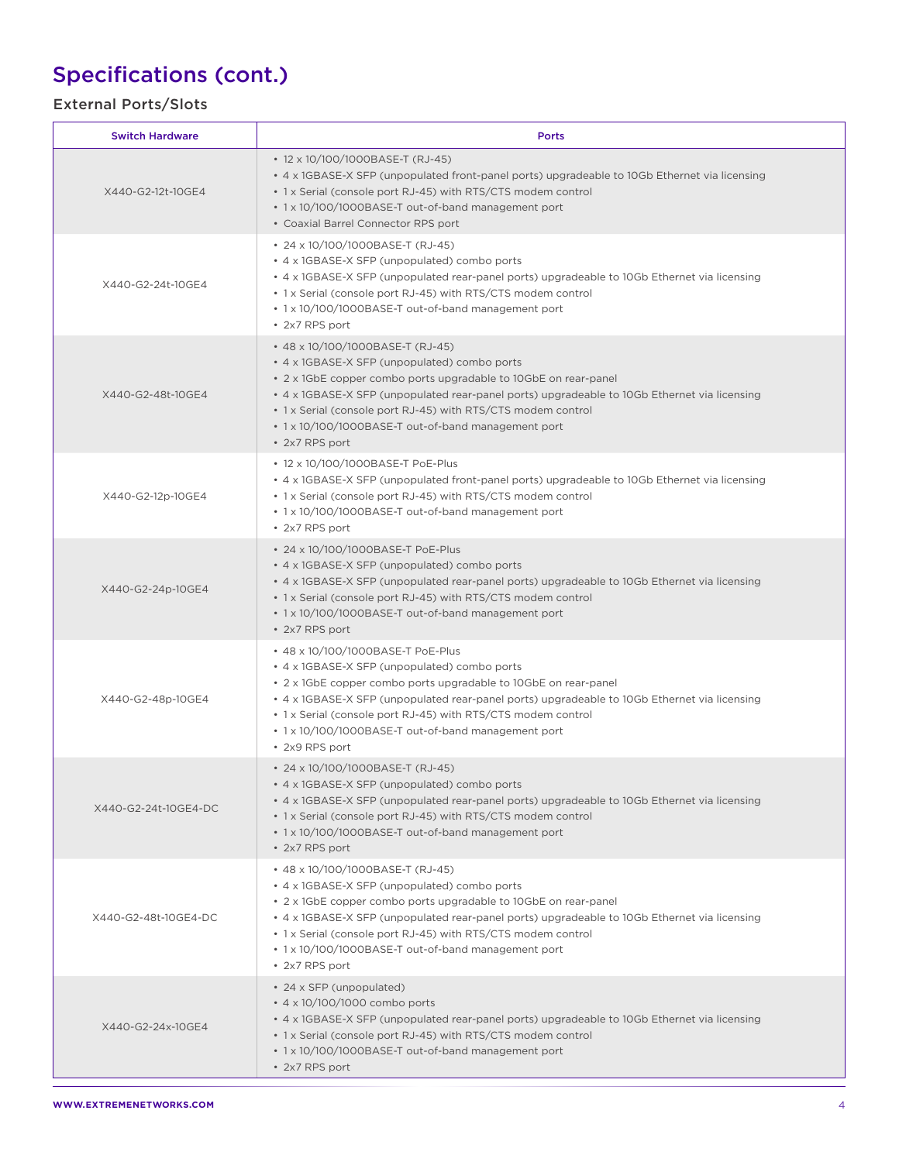### Specifications (cont.)

#### External Ports/Slots

| <b>Switch Hardware</b> | <b>Ports</b>                                                                                                                                                                                                                                                                                                                                                                                  |
|------------------------|-----------------------------------------------------------------------------------------------------------------------------------------------------------------------------------------------------------------------------------------------------------------------------------------------------------------------------------------------------------------------------------------------|
| X440-G2-12t-10GE4      | • 12 x 10/100/1000BASE-T (RJ-45)<br>• 4 x 1GBASE-X SFP (unpopulated front-panel ports) upgradeable to 10Gb Ethernet via licensing<br>• 1 x Serial (console port RJ-45) with RTS/CTS modem control<br>• 1 x 10/100/1000BASE-T out-of-band management port<br>• Coaxial Barrel Connector RPS port                                                                                               |
| X440-G2-24t-10GE4      | • 24 x 10/100/1000BASE-T (RJ-45)<br>• 4 x 1GBASE-X SFP (unpopulated) combo ports<br>• 4 x 1GBASE-X SFP (unpopulated rear-panel ports) upgradeable to 10Gb Ethernet via licensing<br>• 1 x Serial (console port RJ-45) with RTS/CTS modem control<br>• 1 x 10/100/1000BASE-T out-of-band management port<br>• 2x7 RPS port                                                                     |
| X440-G2-48t-10GE4      | • 48 x 10/100/1000BASE-T (RJ-45)<br>• 4 x 1GBASE-X SFP (unpopulated) combo ports<br>• 2 x 1GbE copper combo ports upgradable to 10GbE on rear-panel<br>• 4 x 1GBASE-X SFP (unpopulated rear-panel ports) upgradeable to 10Gb Ethernet via licensing<br>• 1 x Serial (console port RJ-45) with RTS/CTS modem control<br>• 1 x 10/100/1000BASE-T out-of-band management port<br>• 2x7 RPS port  |
| X440-G2-12p-10GE4      | • 12 x 10/100/1000BASE-T PoE-Plus<br>• 4 x 1GBASE-X SFP (unpopulated front-panel ports) upgradeable to 10Gb Ethernet via licensing<br>• 1 x Serial (console port RJ-45) with RTS/CTS modem control<br>• 1 x 10/100/1000BASE-T out-of-band management port<br>• 2x7 RPS port                                                                                                                   |
| X440-G2-24p-10GE4      | • 24 x 10/100/1000BASE-T PoE-Plus<br>• 4 x 1GBASE-X SFP (unpopulated) combo ports<br>• 4 x 1GBASE-X SFP (unpopulated rear-panel ports) upgradeable to 10Gb Ethernet via licensing<br>• 1 x Serial (console port RJ-45) with RTS/CTS modem control<br>• 1 x 10/100/1000BASE-T out-of-band management port<br>• 2x7 RPS port                                                                    |
| X440-G2-48p-10GE4      | • 48 x 10/100/1000BASE-T PoE-Plus<br>• 4 x 1GBASE-X SFP (unpopulated) combo ports<br>• 2 x 1GbE copper combo ports upgradable to 10GbE on rear-panel<br>• 4 x 1GBASE-X SFP (unpopulated rear-panel ports) upgradeable to 10Gb Ethernet via licensing<br>• 1 x Serial (console port RJ-45) with RTS/CTS modem control<br>• 1 x 10/100/1000BASE-T out-of-band management port<br>• 2x9 RPS port |
| X440-G2-24t-10GE4-DC   | • 24 x 10/100/1000BASE-T (RJ-45)<br>• 4 x 1GBASE-X SFP (unpopulated) combo ports<br>• 4 x 1GBASE-X SFP (unpopulated rear-panel ports) upgradeable to 10Gb Ethernet via licensing<br>• 1 x Serial (console port RJ-45) with RTS/CTS modem control<br>• 1 x 10/100/1000BASE-T out-of-band management port<br>• 2x7 RPS port                                                                     |
| X440-G2-48t-10GE4-DC   | • 48 x 10/100/1000BASE-T (RJ-45)<br>• 4 x 1GBASE-X SFP (unpopulated) combo ports<br>• 2 x 1GbE copper combo ports upgradable to 10GbE on rear-panel<br>• 4 x 1GBASE-X SFP (unpopulated rear-panel ports) upgradeable to 10Gb Ethernet via licensing<br>• 1 x Serial (console port RJ-45) with RTS/CTS modem control<br>• 1 x 10/100/1000BASE-T out-of-band management port<br>• 2x7 RPS port  |
| X440-G2-24x-10GE4      | • 24 x SFP (unpopulated)<br>$\cdot$ 4 x 10/100/1000 combo ports<br>• 4 x 1GBASE-X SFP (unpopulated rear-panel ports) upgradeable to 10Gb Ethernet via licensing<br>• 1 x Serial (console port RJ-45) with RTS/CTS modem control<br>• 1 x 10/100/1000BASE-T out-of-band management port<br>• 2x7 RPS port                                                                                      |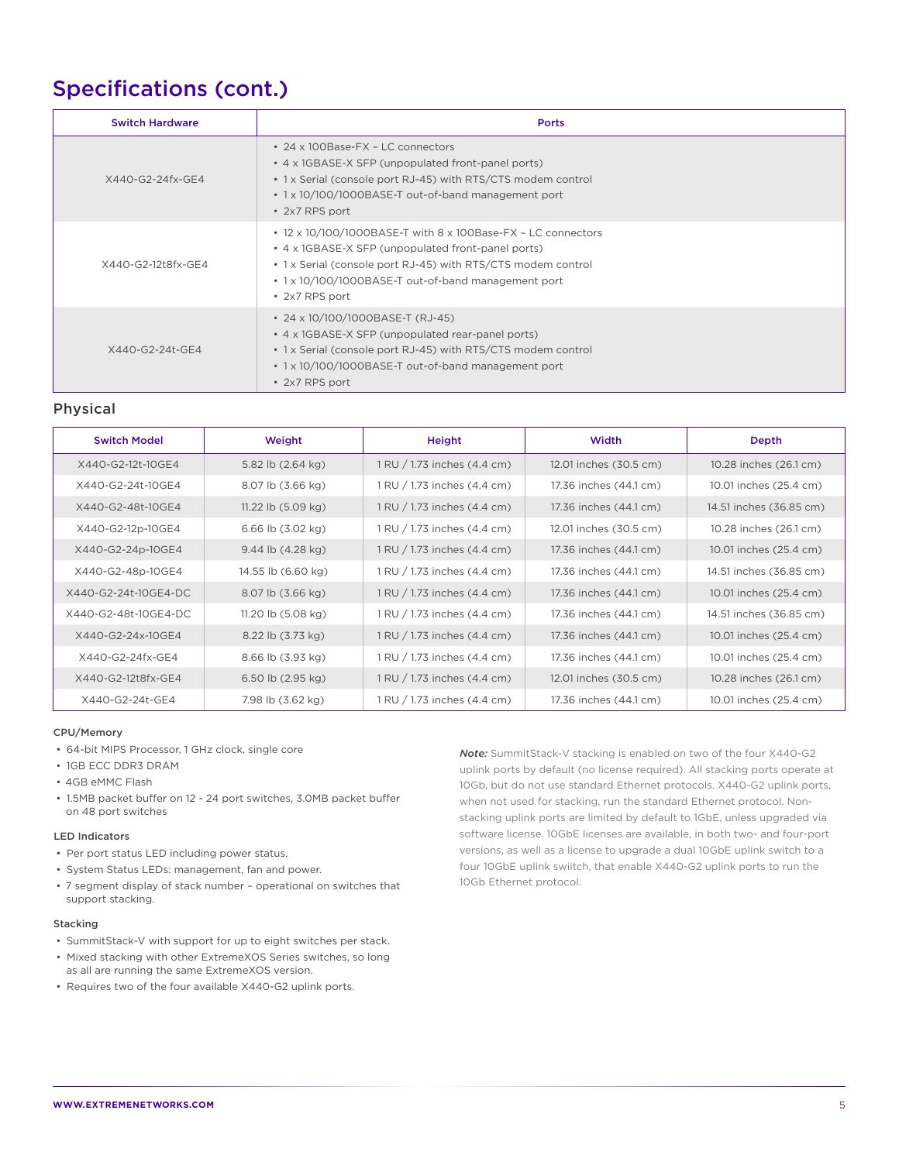### Specifications (cont.)

| <b>Switch Hardware</b> | <b>Ports</b>                                                                                                                                                                                                                                                |
|------------------------|-------------------------------------------------------------------------------------------------------------------------------------------------------------------------------------------------------------------------------------------------------------|
| X440-G2-24fx-GE4       | $\cdot$ 24 x 100Base-FX - LC connectors<br>• 4 x 1GBASE-X SFP (unpopulated front-panel ports)<br>• 1 x Serial (console port RJ-45) with RTS/CTS modem control<br>• 1 x 10/100/1000BASE-T out-of-band management port<br>• 2x7 RPS port                      |
| X440-G2-12t8fx-GE4     | • 12 x 10/100/1000BASE-T with 8 x 100Base-FX - LC connectors<br>• 4 x 1GBASE-X SFP (unpopulated front-panel ports)<br>• 1 x Serial (console port RJ-45) with RTS/CTS modem control<br>• 1 x 10/100/1000BASE-T out-of-band management port<br>• 2x7 RPS port |
| X440-G2-24t-GE4        | • 24 x 10/100/1000BASE-T (RJ-45)<br>• 4 x 1GBASE-X SFP (unpopulated rear-panel ports)<br>• 1 x Serial (console port RJ-45) with RTS/CTS modem control<br>• 1 x 10/100/1000BASE-T out-of-band management port<br>• 2x7 RPS port                              |

#### Physical

| <b>Switch Model</b>  | Weight                       | Height                      | Width                  | Depth                   |
|----------------------|------------------------------|-----------------------------|------------------------|-------------------------|
| X440-G2-12t-10GE4    | 5.82 lb (2.64 kg)            | 1 RU / 1.73 inches (4.4 cm) | 12.01 inches (30.5 cm) | 10.28 inches (26.1 cm)  |
| X440-G2-24t-10GE4    | 8.07 lb (3.66 kg)            | 1 RU / 1.73 inches (4.4 cm) | 17.36 inches (44.1 cm) | 10.01 inches (25.4 cm)  |
| X440-G2-48t-10GE4    | 11.22 lb $(5.09 \text{ kg})$ | 1 RU / 1.73 inches (4.4 cm) | 17.36 inches (44.1 cm) | 14.51 inches (36.85 cm) |
| X440-G2-12p-10GE4    | 6.66 lb $(3.02 \text{ kg})$  | 1 RU / 1.73 inches (4.4 cm) | 12.01 inches (30.5 cm) | 10.28 inches (26.1 cm)  |
| X440-G2-24p-10GE4    | $9.44$ lb $(4.28$ kg)        | 1 RU / 1.73 inches (4.4 cm) | 17.36 inches (44.1 cm) | 10.01 inches (25.4 cm)  |
| X440-G2-48p-10GE4    | 14.55 lb (6.60 kg)           | 1 RU / 1.73 inches (4.4 cm) | 17.36 inches (44.1 cm) | 14.51 inches (36.85 cm) |
| X440-G2-24t-10GE4-DC | 8.07 lb (3.66 kg)            | 1 RU / 1.73 inches (4.4 cm) | 17.36 inches (44.1 cm) | 10.01 inches (25.4 cm)  |
| X440-G2-48t-10GE4-DC | 11.20 lb (5.08 kg)           | 1 RU / 1.73 inches (4.4 cm) | 17.36 inches (44.1 cm) | 14.51 inches (36.85 cm) |
| X440-G2-24x-10GE4    | 8.22 lb (3.73 kg)            | 1 RU / 1.73 inches (4.4 cm) | 17.36 inches (44.1 cm) | 10.01 inches (25.4 cm)  |
| X440-G2-24fx-GE4     | 8.66 lb (3.93 kg)            | 1 RU / 1.73 inches (4.4 cm) | 17.36 inches (44.1 cm) | 10.01 inches (25.4 cm)  |
| X440-G2-12t8fx-GE4   | 6.50 lb $(2.95 \text{ kg})$  | 1 RU / 1.73 inches (4.4 cm) | 12.01 inches (30.5 cm) | 10.28 inches (26.1 cm)  |
| X440-G2-24t-GE4      | 7.98 lb (3.62 kg)            | 1 RU / 1.73 inches (4.4 cm) | 17.36 inches (44.1 cm) | 10.01 inches (25.4 cm)  |

#### CPU/Memory

- 64-bit MIPS Processor, 1 GHz clock, single core
- 1GB ECC DDR3 DRAM
- 4GB eMMC Flash
- 1.5MB packet buffer on 12 24 port switches, 3.0MB packet buffer on 48 port switches

#### LED Indicators

- Per port status LED including power status.
- System Status LEDs: management, fan and power.
- 7 segment display of stack number operational on switches that support stacking.

#### Stacking

- SummitStack-V with support for up to eight switches per stack.
- Mixed stacking with other ExtremeXOS Series switches, so long as all are running the same ExtremeXOS version.
- Requires two of the four available X440-G2 uplink ports.

*Note:* SummitStack-V stacking is enabled on two of the four X440-G2 uplink ports by default (no license required). All stacking ports operate at 10Gb, but do not use standard Ethernet protocols. X440-G2 uplink ports, when not used for stacking, run the standard Ethernet protocol. Nonstacking uplink ports are limited by default to 1GbE, unless upgraded via software license. 10GbE licenses are available, in both two- and four-port versions, as well as a license to upgrade a dual 10GbE uplink switch to a four 10GbE uplink swiitch, that enable X440-G2 uplink ports to run the 10Gb Ethernet protocol.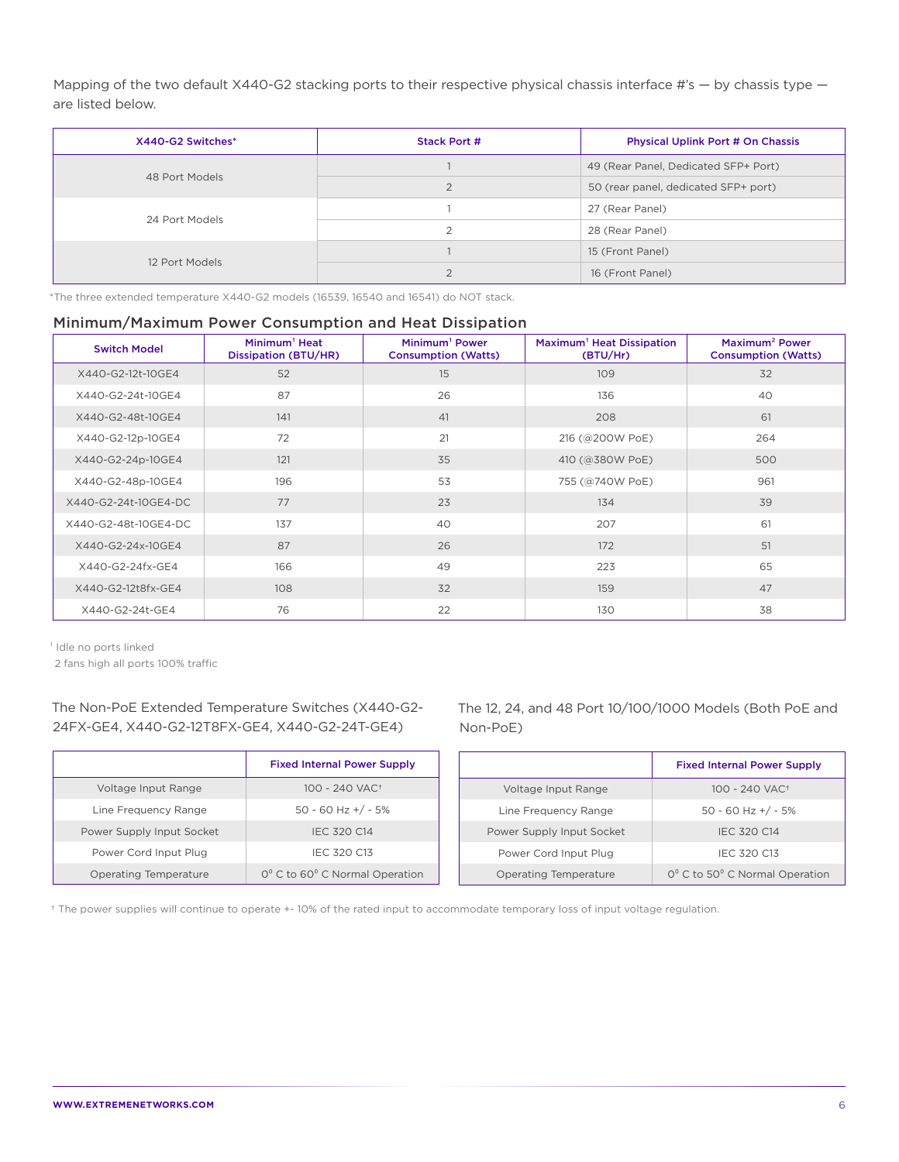Mapping of the two default X440-G2 stacking ports to their respective physical chassis interface #'s  $-$  by chassis type  $$ are listed below.

| X440-G2 Switches* | Stack Port # | <b>Physical Uplink Port # On Chassis</b> |
|-------------------|--------------|------------------------------------------|
| 48 Port Models    |              | 49 (Rear Panel, Dedicated SFP+ Port)     |
|                   |              | 50 (rear panel, dedicated SFP+ port)     |
| 24 Port Models    |              | 27 (Rear Panel)                          |
|                   |              | 28 (Rear Panel)                          |
| 12 Port Models    |              | 15 (Front Panel)                         |
|                   |              | 16 (Front Panel)                         |

\*The three extended temperature X440-G2 models (16539, 16540 and 16541) do NOT stack.

#### Minimum/Maximum Power Consumption and Heat Dissipation

| <b>Switch Model</b>  | Minimum <sup>1</sup> Heat<br><b>Dissipation (BTU/HR)</b> | Minimum <sup>1</sup> Power<br><b>Consumption (Watts)</b> | Maximum <sup>1</sup> Heat Dissipation<br>(BTU/Hr) | Maximum <sup>2</sup> Power<br><b>Consumption (Watts)</b> |
|----------------------|----------------------------------------------------------|----------------------------------------------------------|---------------------------------------------------|----------------------------------------------------------|
| X440-G2-12t-10GE4    | 52                                                       | 15                                                       | 109                                               | 32                                                       |
| X440-G2-24t-10GE4    | 87                                                       | 26                                                       | 136                                               | 40                                                       |
| X440-G2-48t-10GE4    | 141                                                      | 41                                                       | 208                                               | 61                                                       |
| X440-G2-12p-10GE4    | 72                                                       | 21                                                       | 216 (@200W PoE)                                   | 264                                                      |
| X440-G2-24p-10GE4    | 121                                                      | 35                                                       | 410 (@380W PoE)                                   | 500                                                      |
| X440-G2-48p-10GE4    | 196                                                      | 53                                                       | 755 (@740W PoE)                                   | 961                                                      |
| X440-G2-24t-10GE4-DC | 77                                                       | 23                                                       | 134                                               | 39                                                       |
| X440-G2-48t-10GE4-DC | 137                                                      | 40                                                       | 207                                               | 61                                                       |
| X440-G2-24x-10GE4    | 87                                                       | 26                                                       | 172                                               | 51                                                       |
| X440-G2-24fx-GE4     | 166                                                      | 49                                                       | 223                                               | 65                                                       |
| X440-G2-12t8fx-GE4   | 108                                                      | 32                                                       | 159                                               | 47                                                       |
| X440-G2-24t-GE4      | 76                                                       | 22                                                       | 130                                               | 38                                                       |

<sup>1</sup> Idle no ports linked

2 fans high all ports 100% traffic

#### The Non-PoE Extended Temperature Switches (X440-G2- 24FX-GE4, X440-G2-12T8FX-GE4, X440-G2-24T-GE4)

|                           | <b>Fixed Internal Power Supply</b> |
|---------------------------|------------------------------------|
| Voltage Input Range       | 100 - 240 VAC <sup>+</sup>         |
| Line Frequency Range      | $50 - 60$ Hz $+/-5%$               |
| Power Supply Input Socket | <b>IEC 320 C14</b>                 |
| Power Cord Input Plug     | <b>IEC 320 C13</b>                 |
| Operating Temperature     | 0° C to 60° C Normal Operation     |

The 12, 24, and 48 Port 10/100/1000 Models (Both PoE and Non-PoE)

|                           | <b>Fixed Internal Power Supply</b> |
|---------------------------|------------------------------------|
| Voltage Input Range       | 100 - 240 VAC <sup>+</sup>         |
| Line Frequency Range      | $50 - 60$ Hz $+/-5%$               |
| Power Supply Input Socket | <b>IEC 320 C14</b>                 |
| Power Cord Input Plug     | <b>IEC 320 C13</b>                 |
| Operating Temperature     | 0° C to 50° C Normal Operation     |

† The power supplies will continue to operate +- 10% of the rated input to accommodate temporary loss of input voltage regulation.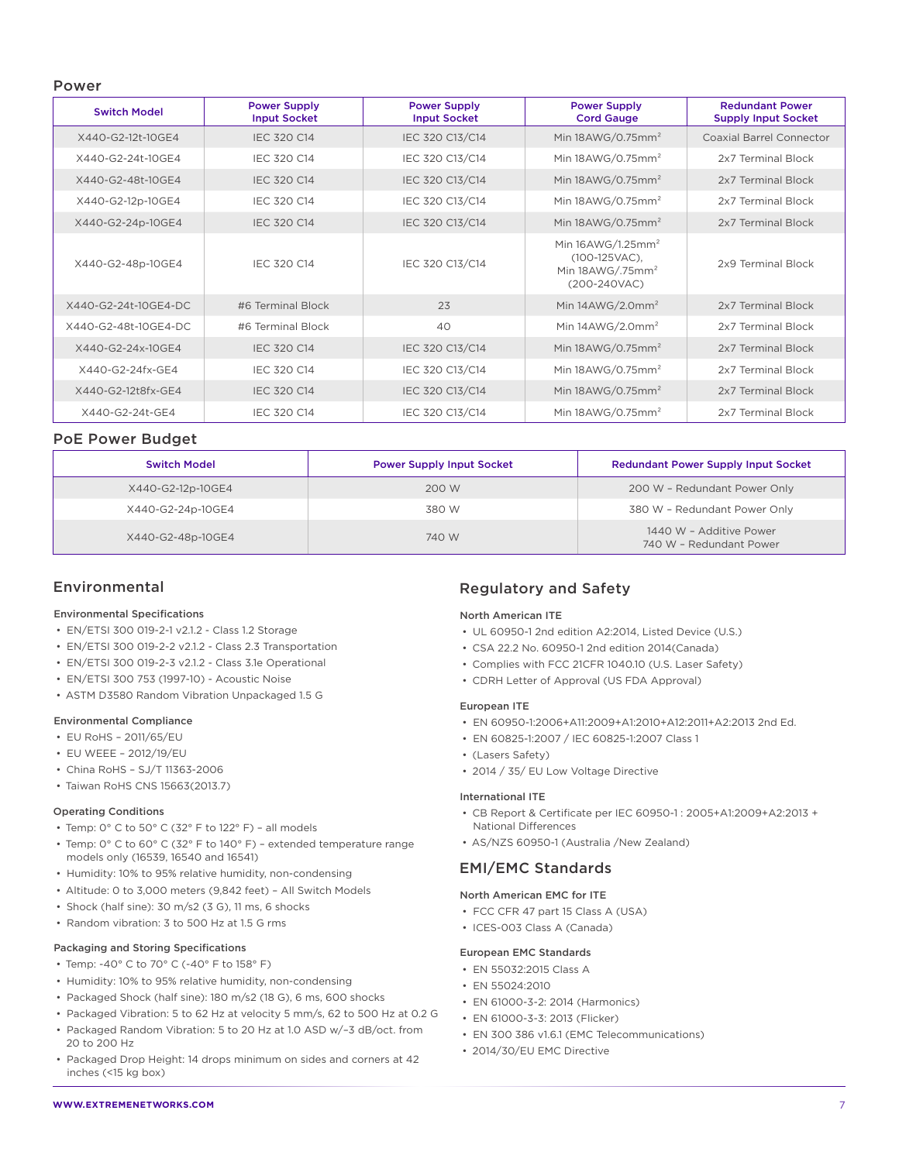#### Power

| <b>Switch Model</b>  | <b>Power Supply</b><br><b>Input Socket</b> | <b>Power Supply</b><br><b>Input Socket</b> | <b>Power Supply</b><br><b>Cord Gauge</b>                                       | <b>Redundant Power</b><br><b>Supply Input Socket</b> |
|----------------------|--------------------------------------------|--------------------------------------------|--------------------------------------------------------------------------------|------------------------------------------------------|
| X440-G2-12t-10GE4    | <b>IEC 320 C14</b>                         | IEC 320 C13/C14                            | Min $18AWG/0.75mm^2$                                                           | Coaxial Barrel Connector                             |
| X440-G2-24t-10GE4    | <b>IEC 320 C14</b>                         | IEC 320 C13/C14                            | Min $18AWG/0.75mm^2$                                                           | 2x7 Terminal Block                                   |
| X440-G2-48t-10GE4    | <b>IEC 320 C14</b>                         | IEC 320 C13/C14                            | Min $18AWG/0.75mm2$                                                            | 2x7 Terminal Block                                   |
| X440-G2-12p-10GE4    | <b>IEC 320 C14</b>                         | IEC 320 C13/C14                            | Min $18AWG/0.75mm^2$                                                           | 2x7 Terminal Block                                   |
| X440-G2-24p-10GE4    | <b>IEC 320 C14</b>                         | IEC 320 C13/C14                            | Min $18AWG/0.75mm2$                                                            | 2x7 Terminal Block                                   |
| X440-G2-48p-10GE4    | <b>IEC 320 C14</b>                         | IEC 320 C13/C14                            | Min $16AWG/1.25mm2$<br>$(100-125VAC)$ ,<br>Min $18AWG/0.75mm2$<br>(200-240VAC) | 2x9 Terminal Block                                   |
| X440-G2-24t-10GE4-DC | #6 Terminal Block                          | 23                                         | Min $14AWG/2.0mm^2$                                                            | 2x7 Terminal Block                                   |
| X440-G2-48t-10GE4-DC | #6 Terminal Block                          | 40                                         | Min $14AWG/2.0mm^2$                                                            | 2x7 Terminal Block                                   |
| X440-G2-24x-10GE4    | <b>IEC 320 C14</b>                         | IEC 320 C13/C14                            | Min $18AWG/0.75mm^2$                                                           | 2x7 Terminal Block                                   |
| X440-G2-24fx-GE4     | <b>IEC 320 C14</b>                         | IEC 320 C13/C14                            | Min $18AWG/0.75mm^2$                                                           | 2x7 Terminal Block                                   |
| X440-G2-12t8fx-GE4   | <b>IEC 320 C14</b>                         | IEC 320 C13/C14                            | Min $18AWG/0.75mm^2$                                                           | 2x7 Terminal Block                                   |
| X440-G2-24t-GE4      | <b>IEC 320 C14</b>                         | IEC 320 C13/C14                            | Min $18AWG/0.75mm^2$                                                           | 2x7 Terminal Block                                   |

#### PoE Power Budget

| <b>Switch Model</b> | <b>Power Supply Input Socket</b> | <b>Redundant Power Supply Input Socket</b>         |
|---------------------|----------------------------------|----------------------------------------------------|
| X440-G2-12p-10GE4   | 200 W                            | 200 W - Redundant Power Only                       |
| X440-G2-24p-10GE4   | 380 W                            | 380 W - Redundant Power Only                       |
| X440-G2-48p-10GE4   | 740 W                            | 1440 W - Additive Power<br>740 W - Redundant Power |

#### Environmental

#### Environmental Specifications

- EN/ETSI 300 019-2-1 v2.1.2 Class 1.2 Storage
- EN/ETSI 300 019-2-2 v2.1.2 Class 2.3 Transportation
- EN/ETSI 300 019-2-3 v2.1.2 Class 3.1e Operational
- EN/ETSI 300 753 (1997-10) Acoustic Noise
- ASTM D3580 Random Vibration Unpackaged 1.5 G

#### Environmental Compliance

- EU RoHS 2011/65/EU
- EU WEEE 2012/19/EU
- China RoHS SJ/T 11363-2006
- Taiwan RoHS CNS 15663(2013.7)

#### Operating Conditions

- Temp: 0° C to 50° C (32° F to 122° F) all models
- Temp: 0° C to 60° C (32° F to 140° F) extended temperature range models only (16539, 16540 and 16541)
- Humidity: 10% to 95% relative humidity, non-condensing
- Altitude: 0 to 3,000 meters (9,842 feet) All Switch Models
- Shock (half sine): 30 m/s2 (3 G), 11 ms, 6 shocks
- Random vibration: 3 to 500 Hz at 1.5 G rms

#### Packaging and Storing Specifications

- Temp: -40° C to 70° C (-40° F to 158° F)
- Humidity: 10% to 95% relative humidity, non-condensing
- Packaged Shock (half sine): 180 m/s2 (18 G), 6 ms, 600 shocks
- Packaged Vibration: 5 to 62 Hz at velocity 5 mm/s, 62 to 500 Hz at 0.2 G
- Packaged Random Vibration: 5 to 20 Hz at 1.0 ASD w/–3 dB/oct. from 20 to 200 Hz
- Packaged Drop Height: 14 drops minimum on sides and corners at 42 inches (<15 kg box)

#### Regulatory and Safety

#### North American ITE

- UL 60950-1 2nd edition A2:2014, Listed Device (U.S.)
- CSA 22.2 No. 60950-1 2nd edition 2014(Canada)
- Complies with FCC 21CFR 1040.10 (U.S. Laser Safety)
- CDRH Letter of Approval (US FDA Approval)

#### European ITE

- EN 60950-1:2006+A11:2009+A1:2010+A12:2011+A2:2013 2nd Ed.
- EN 60825-1:2007 / IEC 60825-1:2007 Class 1
- (Lasers Safety)
- 2014 / 35/ EU Low Voltage Directive

#### International ITE

- CB Report & Certificate per IEC 60950-1 : 2005+A1:2009+A2:2013 + National Differences
- AS/NZS 60950-1 (Australia /New Zealand)

#### EMI/EMC Standards

#### North American EMC for ITE

- FCC CFR 47 part 15 Class A (USA)
- ICES-003 Class A (Canada)

#### European EMC Standards

- EN 55032:2015 Class A
- EN 55024:2010
- EN 61000-3-2: 2014 (Harmonics)
- EN 61000-3-3: 2013 (Flicker)
- EN 300 386 v1.6.1 (EMC Telecommunications)
- 2014/30/EU EMC Directive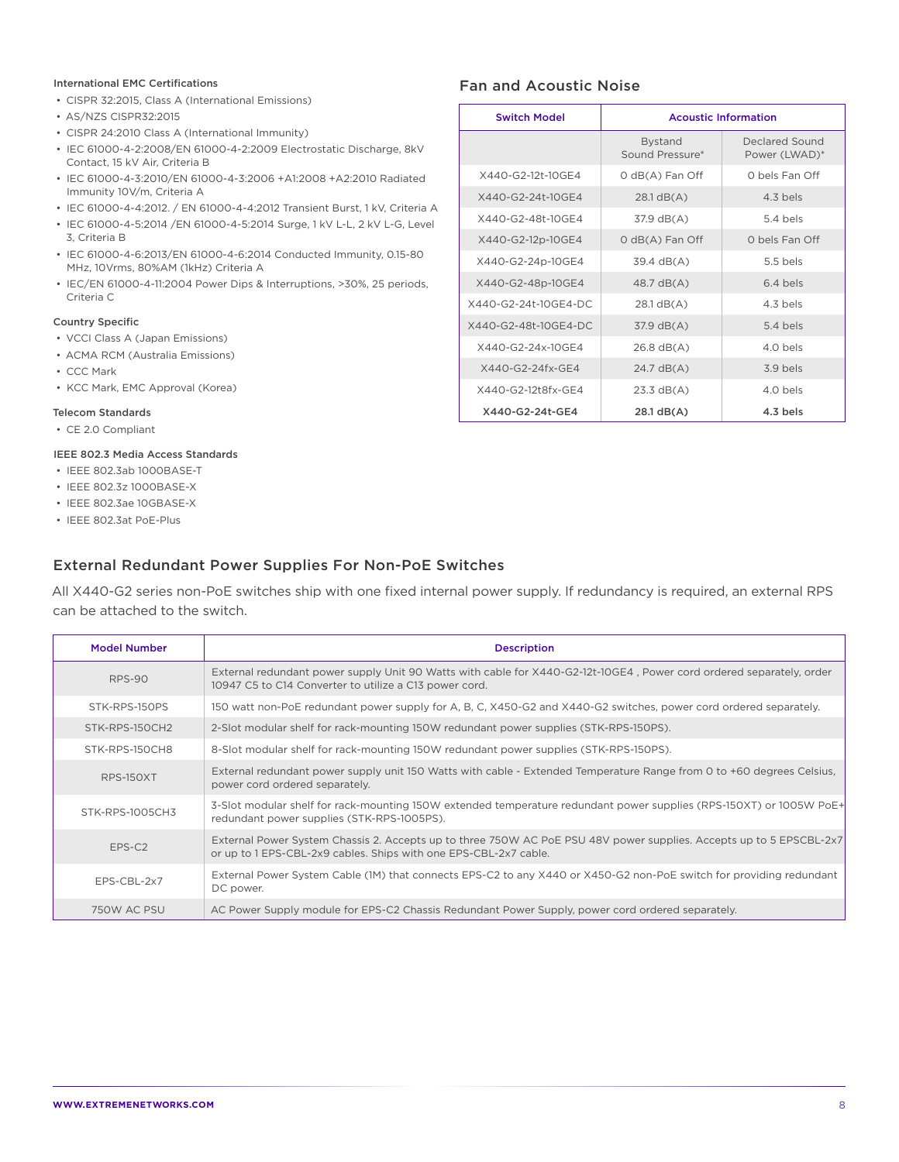#### International EMC Certifications

- CISPR 32:2015, Class A (International Emissions)
- AS/NZS CISPR32:2015
- CISPR 24:2010 Class A (International Immunity)
- IEC 61000-4-2:2008/EN 61000-4-2:2009 Electrostatic Discharge, 8kV Contact, 15 kV Air, Criteria B
- IEC 61000-4-3:2010/EN 61000-4-3:2006 +A1:2008 +A2:2010 Radiated Immunity 10V/m, Criteria A
- IEC 61000-4-4:2012. / EN 61000-4-4:2012 Transient Burst, 1 kV, Criteria A
- IEC 61000-4-5:2014 /EN 61000-4-5:2014 Surge, 1 kV L-L, 2 kV L-G, Level 3, Criteria B
- IEC 61000-4-6:2013/EN 61000-4-6:2014 Conducted Immunity, 0.15-80 MHz, 10Vrms, 80%AM (1kHz) Criteria A
- IEC/EN 61000-4-11:2004 Power Dips & Interruptions, >30%, 25 periods, Criteria C

#### Country Specific

- VCCI Class A (Japan Emissions)
- ACMA RCM (Australia Emissions)
- CCC Mark
- KCC Mark, EMC Approval (Korea)

#### Telecom Standards

• CE 2.0 Compliant

#### IEEE 802.3 Media Access Standards

- IEEE 802.3ab 1000BASE-T
- IEEE 802.3z 1000BASE-X
- IEEE 802.3ae 10GBASE-X
- IEEE 802.3at PoE-Plus

#### External Redundant Power Supplies For Non-PoE Switches

All X440-G2 series non-PoE switches ship with one fixed internal power supply. If redundancy is required, an external RPS can be attached to the switch.

| <b>Model Number</b> | <b>Description</b>                                                                                                                                                                      |
|---------------------|-----------------------------------------------------------------------------------------------------------------------------------------------------------------------------------------|
| <b>RPS-90</b>       | External redundant power supply Unit 90 Watts with cable for X440-G2-12t-10GE4, Power cord ordered separately, order<br>10947 C5 to C14 Converter to utilize a C13 power cord.          |
| STK-RPS-150PS       | 150 watt non-PoE redundant power supply for A, B, C, X450-G2 and X440-G2 switches, power cord ordered separately.                                                                       |
| STK-RPS-150CH2      | 2-Slot modular shelf for rack-mounting 150W redundant power supplies (STK-RPS-150PS).                                                                                                   |
| STK-RPS-150CH8      | 8-Slot modular shelf for rack-mounting 150W redundant power supplies (STK-RPS-150PS).                                                                                                   |
| <b>RPS-150XT</b>    | External redundant power supply unit 150 Watts with cable - Extended Temperature Range from 0 to +60 degrees Celsius,<br>power cord ordered separately.                                 |
| STK-RPS-1005CH3     | 3-Slot modular shelf for rack-mounting 150W extended temperature redundant power supplies (RPS-150XT) or 1005W PoE+<br>redundant power supplies (STK-RPS-1005PS).                       |
| EPS-C <sub>2</sub>  | External Power System Chassis 2. Accepts up to three 750W AC PoE PSU 48V power supplies. Accepts up to 5 EPSCBL-2x7<br>or up to 1 EPS-CBL-2x9 cables. Ships with one EPS-CBL-2x7 cable. |
| EPS-CBL-2x7         | External Power System Cable (1M) that connects EPS-C2 to any X440 or X450-G2 non-PoE switch for providing redundant<br>DC power.                                                        |
| 750W AC PSU         | AC Power Supply module for EPS-C2 Chassis Redundant Power Supply, power cord ordered separately.                                                                                        |

#### Fan and Acoustic Noise

| <b>Switch Model</b>  | <b>Acoustic Information</b>       |                                 |  |
|----------------------|-----------------------------------|---------------------------------|--|
|                      | <b>Bystand</b><br>Sound Pressure* | Declared Sound<br>Power (LWAD)* |  |
| X440-G2-12t-10GE4    | $O$ dB $(A)$ Fan Off              | 0 bels Fan Off                  |  |
| X440-G2-24t-10GF4    | $28.1$ dB $(A)$                   | $4.3$ hels                      |  |
| X440-G2-48t-10GE4    | $37.9$ dB(A)                      | 5.4 bels                        |  |
| X440-G2-12p-10GE4    | $O$ dB $(A)$ Fan Off              | O bels Fan Off                  |  |
| X440-G2-24p-10GE4    | 39.4 dB(A)                        | 5.5 bels                        |  |
| X440-G2-48p-10GE4    | 48.7 dB(A)                        | 6.4 bels                        |  |
| X440-G2-24t-10GF4-DC | $28.1$ dB $(A)$                   | $4.3$ hels                      |  |
| X440-G2-48t-10GE4-DC | $37.9$ dB(A)                      | 5.4 bels                        |  |
| X440-G2-24x-10GE4    | $26.8$ dB $(A)$                   | 4.0 bels                        |  |
| X440-G2-24fx-GE4     | $24.7 \text{ dB}(A)$              | 3.9 bels                        |  |
| X440-G2-12t8fx-GE4   | $23.3$ dB(A)                      | 4.0 bels                        |  |
| X440-G2-24t-GE4      | 28.1 dB(A)                        | 4.3 bels                        |  |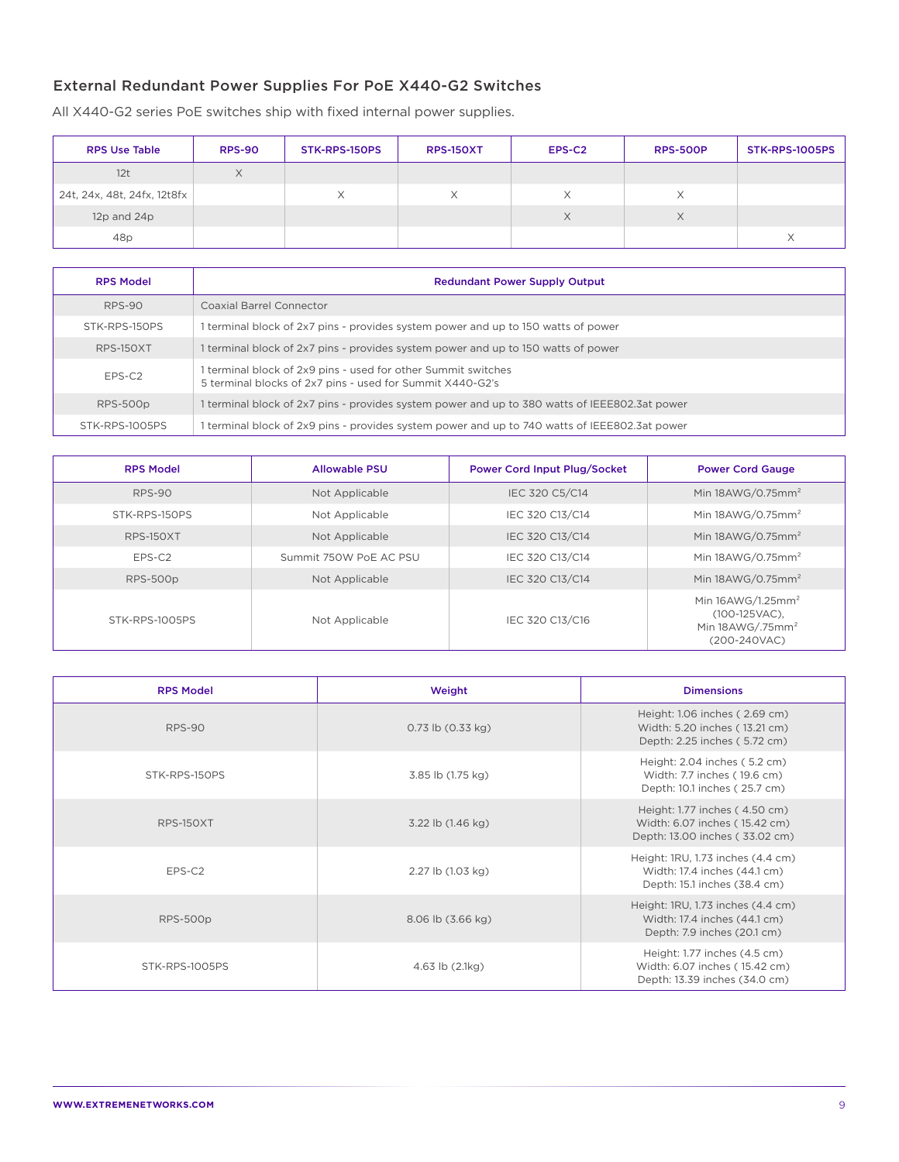#### External Redundant Power Supplies For PoE X440-G2 Switches

All X440-G2 series PoE switches ship with fixed internal power supplies.

| <b>RPS Use Table</b>        | <b>RPS-90</b> | STK-RPS-150PS | <b>RPS-150XT</b> | EPS-C2 | <b>RPS-500P</b> | STK-RPS-1005PS |
|-----------------------------|---------------|---------------|------------------|--------|-----------------|----------------|
| 12t                         |               |               |                  |        |                 |                |
| 24t, 24x, 48t, 24fx, 12t8fx |               | Χ             | Χ                | X      | Х               |                |
| 12p and 24p                 |               |               |                  | X      | Х               |                |
| 48p                         |               |               |                  |        |                 | ∧              |

| <b>RPS Model</b>   | <b>Redundant Power Supply Output</b>                                                                                       |
|--------------------|----------------------------------------------------------------------------------------------------------------------------|
| <b>RPS-90</b>      | Coaxial Barrel Connector                                                                                                   |
| STK-RPS-150PS      | terminal block of 2x7 pins - provides system power and up to 150 watts of power                                            |
| <b>RPS-150XT</b>   | 1 terminal block of 2x7 pins - provides system power and up to 150 watts of power                                          |
| EPS-C <sub>2</sub> | 1 terminal block of 2x9 pins - used for other Summit switches<br>5 terminal blocks of 2x7 pins - used for Summit X440-G2's |
| <b>RPS-500p</b>    | I terminal block of 2x7 pins - provides system power and up to 380 watts of IEEE802.3at power                              |
| STK-RPS-1005PS     | terminal block of 2x9 pins - provides system power and up to 740 watts of IEEE802.3at power                                |

| <b>RPS Model</b> | <b>Allowable PSU</b>   | <b>Power Cord Input Plug/Socket</b> | <b>Power Cord Gauge</b>                                                                  |
|------------------|------------------------|-------------------------------------|------------------------------------------------------------------------------------------|
| <b>RPS-90</b>    | Not Applicable         | IEC 320 C5/C14                      | Min 18AWG/0.75mm <sup>2</sup>                                                            |
| STK-RPS-150PS    | Not Applicable         | IEC 320 C13/C14                     | Min $18AWG/0.75mm^2$                                                                     |
| <b>RPS-150XT</b> | Not Applicable         | IEC 320 C13/C14                     | Min $18AWG/0.75mm^2$                                                                     |
| EPS-C2           | Summit 750W PoE AC PSU | IEC 320 C13/C14                     | Min $18AWG/0.75mm^2$                                                                     |
| <b>RPS-500p</b>  | Not Applicable         | IEC 320 C13/C14                     | Min $18AWG/0.75mm^2$                                                                     |
| STK-RPS-1005PS   | Not Applicable         | IEC 320 C13/C16                     | Min 16AWG/1.25mm <sup>2</sup><br>$(100-125VAC)$ ,<br>Min $18AWG/0.75mm2$<br>(200-240VAC) |

| <b>RPS Model</b> | Weight                | <b>Dimensions</b>                                                                                 |
|------------------|-----------------------|---------------------------------------------------------------------------------------------------|
| <b>RPS-90</b>    | $0.73$ lb $(0.33$ kg) | Height: 1.06 inches (2.69 cm)<br>Width: 5.20 inches (13.21 cm)<br>Depth: 2.25 inches (5.72 cm)    |
| STK-RPS-150PS    | 3.85 lb (1.75 kg)     | Height: 2.04 inches (5.2 cm)<br>Width: 7.7 inches (19.6 cm)<br>Depth: 10.1 inches (25.7 cm)       |
| <b>RPS-150XT</b> | 3.22 lb (1.46 kg)     | Height: 1.77 inches (4.50 cm)<br>Width: 6.07 inches (15.42 cm)<br>Depth: 13.00 inches (33.02 cm)  |
| EPS-C2           | 2.27 lb (1.03 kg)     | Height: 1RU, 1.73 inches (4.4 cm)<br>Width: 17.4 inches (44.1 cm)<br>Depth: 15.1 inches (38.4 cm) |
| <b>RPS-500p</b>  | 8.06 lb (3.66 kg)     | Height: 1RU, 1.73 inches (4.4 cm)<br>Width: 17.4 inches (44.1 cm)<br>Depth: 7.9 inches (20.1 cm)  |
| STK-RPS-1005PS   | $4.63$ lb $(2.1kg)$   | Height: 1.77 inches (4.5 cm)<br>Width: 6.07 inches (15.42 cm)<br>Depth: 13.39 inches (34.0 cm)    |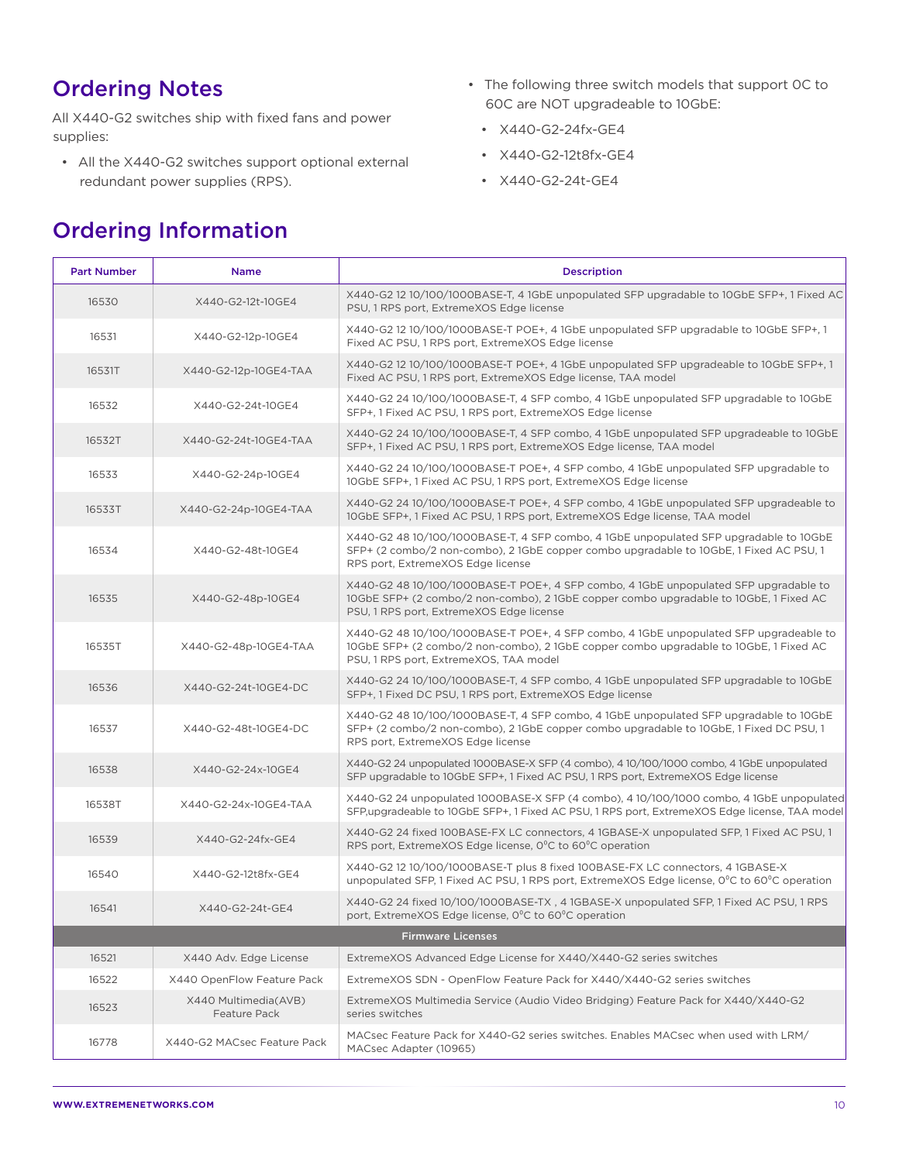### Ordering Notes

All X440-G2 switches ship with fixed fans and power supplies:

• All the X440-G2 switches support optional external redundant power supplies (RPS).

## Ordering Information

- The following three switch models that support 0C to 60C are NOT upgradeable to 10GbE:
	- X440-G2-24fx-GE4
	- X440-G2-12t8fx-GE4
	- X440-G2-24t-GE4

| <b>Part Number</b>       | <b>Name</b>                          | <b>Description</b>                                                                                                                                                                                                        |  |
|--------------------------|--------------------------------------|---------------------------------------------------------------------------------------------------------------------------------------------------------------------------------------------------------------------------|--|
| 16530                    | X440-G2-12t-10GE4                    | X440-G2 12 10/100/1000BASE-T, 4 1GbE unpopulated SFP upgradable to 10GbE SFP+, 1 Fixed AC<br>PSU, 1 RPS port, ExtremeXOS Edge license                                                                                     |  |
| 16531                    | X440-G2-12p-10GE4                    | X440-G2 12 10/100/1000BASE-T POE+, 4 1GbE unpopulated SFP upgradable to 10GbE SFP+, 1<br>Fixed AC PSU, 1 RPS port, ExtremeXOS Edge license                                                                                |  |
| 16531T                   | X440-G2-12p-10GE4-TAA                | X440-G2 12 10/100/1000BASE-T POE+, 4 1GbE unpopulated SFP upgradeable to 10GbE SFP+, 1<br>Fixed AC PSU, 1 RPS port, ExtremeXOS Edge license, TAA model                                                                    |  |
| 16532                    | X440-G2-24t-10GE4                    | X440-G2 24 10/100/1000BASE-T, 4 SFP combo, 4 1GbE unpopulated SFP upgradable to 10GbE<br>SFP+, 1 Fixed AC PSU, 1 RPS port, ExtremeXOS Edge license                                                                        |  |
| 16532T                   | X440-G2-24t-10GE4-TAA                | X440-G2 24 10/100/1000BASE-T, 4 SFP combo, 4 1GbE unpopulated SFP upgradeable to 10GbE<br>SFP+, 1 Fixed AC PSU, 1 RPS port, ExtremeXOS Edge license, TAA model                                                            |  |
| 16533                    | X440-G2-24p-10GE4                    | X440-G2 24 10/100/1000BASE-T POE+, 4 SFP combo, 4 1GbE unpopulated SFP upgradable to<br>10GbE SFP+, 1 Fixed AC PSU, 1 RPS port, ExtremeXOS Edge license                                                                   |  |
| 16533T                   | X440-G2-24p-10GE4-TAA                | X440-G2 24 10/100/1000BASE-T POE+, 4 SFP combo, 4 1GbE unpopulated SFP upgradeable to<br>10GbE SFP+, 1 Fixed AC PSU, 1 RPS port, ExtremeXOS Edge license, TAA model                                                       |  |
| 16534                    | X440-G2-48t-10GE4                    | X440-G2 48 10/100/1000BASE-T, 4 SFP combo, 4 1GbE unpopulated SFP upgradable to 10GbE<br>SFP+ (2 combo/2 non-combo), 2 1GbE copper combo upgradable to 10GbE, 1 Fixed AC PSU, 1<br>RPS port, ExtremeXOS Edge license      |  |
| 16535                    | X440-G2-48p-10GE4                    | X440-G2 48 10/100/1000BASE-T POE+, 4 SFP combo, 4 1GbE unpopulated SFP upgradable to<br>10GbE SFP+ (2 combo/2 non-combo), 2 1GbE copper combo upgradable to 10GbE, 1 Fixed AC<br>PSU, 1 RPS port, ExtremeXOS Edge license |  |
| 16535T                   | X440-G2-48p-10GE4-TAA                | X440-G2 48 10/100/1000BASE-T POE+, 4 SFP combo, 4 1GbE unpopulated SFP upgradeable to<br>10GbE SFP+ (2 combo/2 non-combo), 2 1GbE copper combo upgradable to 10GbE, 1 Fixed AC<br>PSU, 1 RPS port, ExtremeXOS, TAA model  |  |
| 16536                    | X440-G2-24t-10GE4-DC                 | X440-G2 24 10/100/1000BASE-T, 4 SFP combo, 4 1GbE unpopulated SFP upgradable to 10GbE<br>SFP+, 1 Fixed DC PSU, 1 RPS port, ExtremeXOS Edge license                                                                        |  |
| 16537                    | X440-G2-48t-10GE4-DC                 | X440-G2 48 10/100/1000BASE-T, 4 SFP combo, 4 1GbE unpopulated SFP upgradable to 10GbE<br>SFP+ (2 combo/2 non-combo), 2 1GbE copper combo upgradable to 10GbE, 1 Fixed DC PSU, 1<br>RPS port, ExtremeXOS Edge license      |  |
| 16538                    | X440-G2-24x-10GE4                    | X440-G2 24 unpopulated 1000BASE-X SFP (4 combo), 4 10/100/1000 combo, 4 1GbE unpopulated<br>SFP upgradable to 10GbE SFP+, 1 Fixed AC PSU, 1 RPS port, ExtremeXOS Edge license                                             |  |
| 16538T                   | X440-G2-24x-10GE4-TAA                | X440-G2 24 unpopulated 1000BASE-X SFP (4 combo), 4 10/100/1000 combo, 4 1GbE unpopulated<br>SFP,upgradeable to 10GbE SFP+, 1 Fixed AC PSU, 1 RPS port, ExtremeXOS Edge license, TAA model                                 |  |
| 16539                    | X440-G2-24fx-GE4                     | X440-G2 24 fixed 100BASE-FX LC connectors, 4 1GBASE-X unpopulated SFP, 1 Fixed AC PSU, 1<br>RPS port, ExtremeXOS Edge license, 0°C to 60°C operation                                                                      |  |
| 16540                    | X440-G2-12t8fx-GE4                   | X440-G2 12 10/100/1000BASE-T plus 8 fixed 100BASE-FX LC connectors, 4 1GBASE-X<br>unpopulated SFP, 1 Fixed AC PSU, 1 RPS port, ExtremeXOS Edge license, 0°C to 60°C operation                                             |  |
| 16541                    | X440-G2-24t-GE4                      | X440-G2 24 fixed 10/100/1000BASE-TX, 4 1GBASE-X unpopulated SFP, 1 Fixed AC PSU, 1 RPS<br>port, ExtremeXOS Edge license, 0°C to 60°C operation                                                                            |  |
| <b>Firmware Licenses</b> |                                      |                                                                                                                                                                                                                           |  |
| 16521                    | X440 Adv. Edge License               | ExtremeXOS Advanced Edge License for X440/X440-G2 series switches                                                                                                                                                         |  |
| 16522                    | X440 OpenFlow Feature Pack           | ExtremeXOS SDN - OpenFlow Feature Pack for X440/X440-G2 series switches                                                                                                                                                   |  |
| 16523                    | X440 Multimedia(AVB)<br>Feature Pack | ExtremeXOS Multimedia Service (Audio Video Bridging) Feature Pack for X440/X440-G2<br>series switches                                                                                                                     |  |
| 16778                    | X440-G2 MACsec Feature Pack          | MACsec Feature Pack for X440-G2 series switches. Enables MACsec when used with LRM/<br>MACsec Adapter (10965)                                                                                                             |  |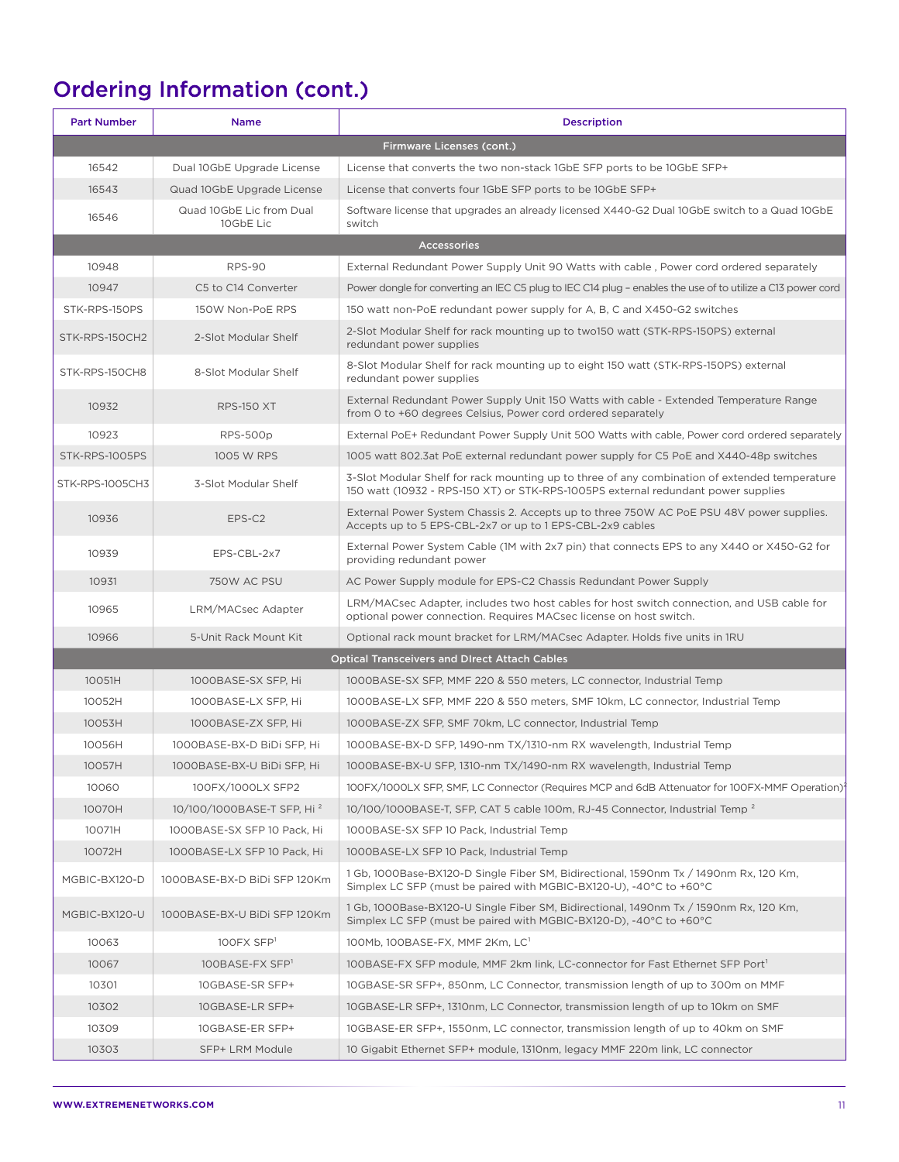### **Ordering Information (cont.)**

| <b>Part Number</b> | Name                                   | <b>Description</b>                                                                                                                                                                 |
|--------------------|----------------------------------------|------------------------------------------------------------------------------------------------------------------------------------------------------------------------------------|
|                    |                                        | Firmware Licenses (cont.)                                                                                                                                                          |
| 16542              | Dual 10GbE Upgrade License             | License that converts the two non-stack 1GbE SFP ports to be 10GbE SFP+                                                                                                            |
| 16543              | Quad 10GbE Upgrade License             | License that converts four 1GbE SFP ports to be 10GbE SFP+                                                                                                                         |
| 16546              | Quad 10GbE Lic from Dual<br>10GbE Lic  | Software license that upgrades an already licensed X440-G2 Dual 10GbE switch to a Quad 10GbE<br>switch                                                                             |
|                    |                                        | <b>Accessories</b>                                                                                                                                                                 |
| 10948              | <b>RPS-90</b>                          | External Redundant Power Supply Unit 90 Watts with cable, Power cord ordered separately                                                                                            |
| 10947              | C5 to C14 Converter                    | Power dongle for converting an IEC C5 plug to IEC C14 plug - enables the use of to utilize a C13 power cord                                                                        |
| STK-RPS-150PS      | 150W Non-PoE RPS                       | 150 watt non-PoE redundant power supply for A, B, C and X450-G2 switches                                                                                                           |
| STK-RPS-150CH2     | 2-Slot Modular Shelf                   | 2-Slot Modular Shelf for rack mounting up to two150 watt (STK-RPS-150PS) external<br>redundant power supplies                                                                      |
| STK-RPS-150CH8     | 8-Slot Modular Shelf                   | 8-Slot Modular Shelf for rack mounting up to eight 150 watt (STK-RPS-150PS) external<br>redundant power supplies                                                                   |
| 10932              | <b>RPS-150 XT</b>                      | External Redundant Power Supply Unit 150 Watts with cable - Extended Temperature Range<br>from 0 to +60 degrees Celsius, Power cord ordered separately                             |
| 10923              | <b>RPS-500p</b>                        | External PoE+ Redundant Power Supply Unit 500 Watts with cable, Power cord ordered separately                                                                                      |
| STK-RPS-1005PS     | 1005 W RPS                             | 1005 watt 802.3at PoE external redundant power supply for C5 PoE and X440-48p switches                                                                                             |
| STK-RPS-1005CH3    | 3-Slot Modular Shelf                   | 3-Slot Modular Shelf for rack mounting up to three of any combination of extended temperature<br>150 watt (10932 - RPS-150 XT) or STK-RPS-1005PS external redundant power supplies |
| 10936              | EPS-C2                                 | External Power System Chassis 2. Accepts up to three 750W AC PoE PSU 48V power supplies.<br>Accepts up to 5 EPS-CBL-2x7 or up to 1 EPS-CBL-2x9 cables                              |
| 10939              | EPS-CBL-2x7                            | External Power System Cable (1M with 2x7 pin) that connects EPS to any X440 or X450-G2 for<br>providing redundant power                                                            |
| 10931              | 750W AC PSU                            | AC Power Supply module for EPS-C2 Chassis Redundant Power Supply                                                                                                                   |
| 10965              | LRM/MACsec Adapter                     | LRM/MACsec Adapter, includes two host cables for host switch connection, and USB cable for<br>optional power connection. Requires MACsec license on host switch.                   |
| 10966              | 5-Unit Rack Mount Kit                  | Optional rack mount bracket for LRM/MACsec Adapter. Holds five units in 1RU                                                                                                        |
|                    |                                        | <b>Optical Transceivers and Direct Attach Cables</b>                                                                                                                               |
| 10051H             | 1000BASE-SX SFP, Hi                    | 1000BASE-SX SFP, MMF 220 & 550 meters, LC connector, Industrial Temp                                                                                                               |
| 10052H             | 1000BASE-LX SFP, Hi                    | 1000BASE-LX SFP, MMF 220 & 550 meters, SMF 10km, LC connector, Industrial Temp                                                                                                     |
| 10053H             | 1000BASE-ZX SFP, Hi                    | 1000BASE-ZX SFP, SMF 70km, LC connector, Industrial Temp                                                                                                                           |
| 10056H             | 1000BASE-BX-D BiDi SFP. Hi             | 1000BASE-BX-D SFP, 1490-nm TX/1310-nm RX wavelength, Industrial Temp                                                                                                               |
| 10057H             | 1000BASE-BX-U BiDi SFP, Hi             | 1000BASE-BX-U SFP, 1310-nm TX/1490-nm RX wavelength, Industrial Temp                                                                                                               |
| 10060              | 100FX/1000LX SFP2                      | 100FX/1000LX SFP, SMF, LC Connector (Requires MCP and 6dB Attenuator for 100FX-MMF Operation) <sup>2</sup>                                                                         |
| 10070H             | 10/100/1000BASE-T SFP. Hi <sup>2</sup> | 10/100/1000BASE-T, SFP, CAT 5 cable 100m, RJ-45 Connector, Industrial Temp <sup>2</sup>                                                                                            |
| 10071H             | 1000BASE-SX SFP 10 Pack, Hi            | 1000BASE-SX SFP 10 Pack, Industrial Temp                                                                                                                                           |
| 10072H             | 1000BASE-LX SFP 10 Pack, Hi            | 1000BASE-LX SFP 10 Pack, Industrial Temp                                                                                                                                           |
| MGBIC-BX120-D      | 1000BASE-BX-D BiDi SFP 120Km           | 1 Gb, 1000Base-BX120-D Single Fiber SM, Bidirectional, 1590nm Tx / 1490nm Rx, 120 Km,<br>Simplex LC SFP (must be paired with MGBIC-BX120-U), -40°C to +60°C                        |
| MGBIC-BX120-U      | 1000BASE-BX-U BiDi SFP 120Km           | 1 Gb, 1000Base-BX120-U Single Fiber SM, Bidirectional, 1490nm Tx / 1590nm Rx, 120 Km,<br>Simplex LC SFP (must be paired with MGBIC-BX120-D), -40°C to +60°C                        |
| 10063              | $100FX$ SFP <sup>1</sup>               | 100Mb. 100BASE-FX. MMF 2Km. LC <sup>1</sup>                                                                                                                                        |
| 10067              | 100BASE-FX SFP <sup>1</sup>            | 100BASE-FX SFP module, MMF 2km link, LC-connector for Fast Ethernet SFP Port1                                                                                                      |
| 10301              | 10GBASE-SR SFP+                        | 10GBASE-SR SFP+, 850nm, LC Connector, transmission length of up to 300m on MMF                                                                                                     |
| 10302              | 10GBASE-LR SFP+                        | 10GBASE-LR SFP+, 1310nm, LC Connector, transmission length of up to 10km on SMF                                                                                                    |
| 10309              | 10GBASE-ER SFP+                        | 10GBASE-ER SFP+, 1550nm, LC connector, transmission length of up to 40km on SMF                                                                                                    |
| 10303              | SFP+ LRM Module                        | 10 Gigabit Ethernet SFP+ module, 1310nm, legacy MMF 220m link, LC connector                                                                                                        |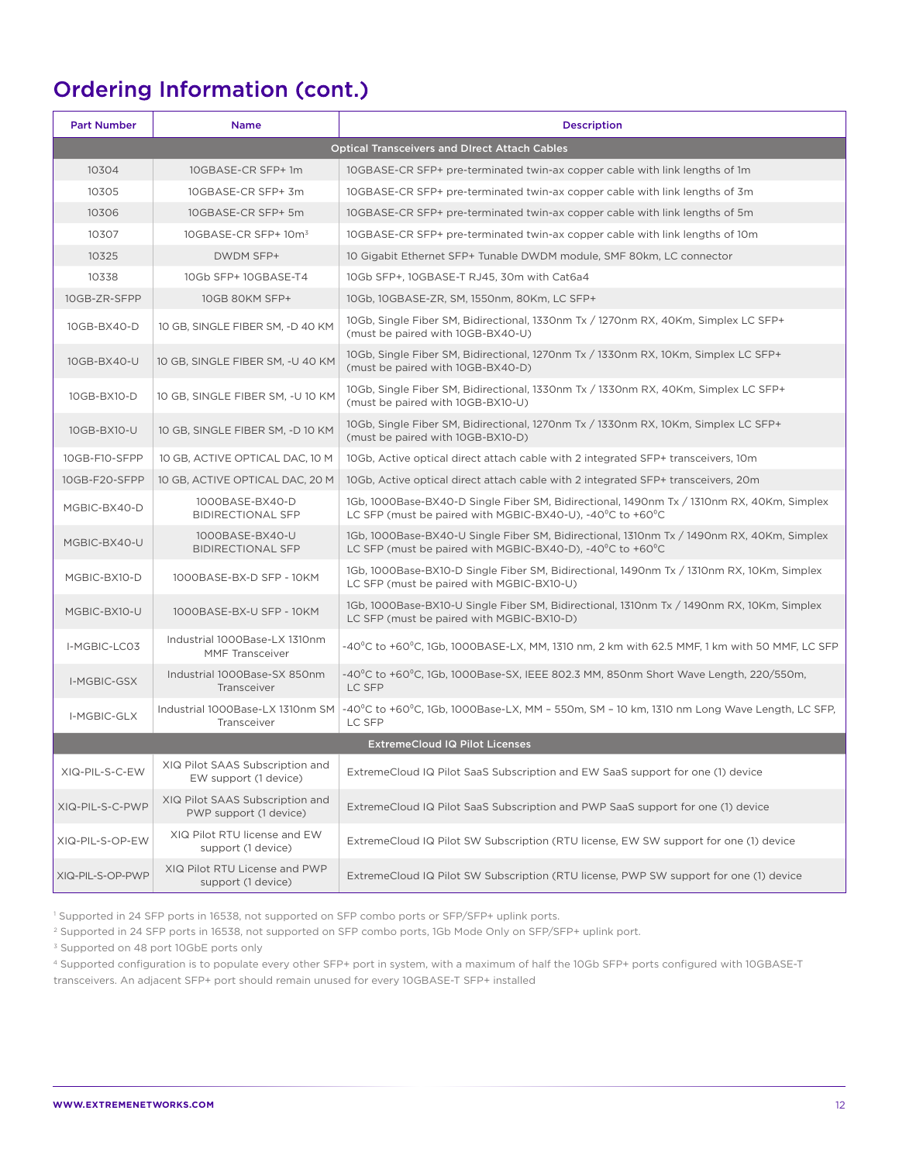### **Ordering Information (cont.)**

| <b>Part Number</b>                                   | <b>Name</b>                                               | <b>Description</b>                                                                                                                                                           |  |
|------------------------------------------------------|-----------------------------------------------------------|------------------------------------------------------------------------------------------------------------------------------------------------------------------------------|--|
| <b>Optical Transceivers and Direct Attach Cables</b> |                                                           |                                                                                                                                                                              |  |
| 10304                                                | 10GBASE-CR SFP+ 1m                                        | 10GBASE-CR SFP+ pre-terminated twin-ax copper cable with link lengths of 1m                                                                                                  |  |
| 10305                                                | 10GBASE-CR SFP+ 3m                                        | 10GBASE-CR SFP+ pre-terminated twin-ax copper cable with link lengths of 3m                                                                                                  |  |
| 10306                                                | 10GBASE-CR SFP+ 5m                                        | 10GBASE-CR SFP+ pre-terminated twin-ax copper cable with link lengths of 5m                                                                                                  |  |
| 10307                                                | 10GBASE-CR SFP+10m <sup>3</sup>                           | 10GBASE-CR SFP+ pre-terminated twin-ax copper cable with link lengths of 10m                                                                                                 |  |
| 10325                                                | DWDM SFP+                                                 | 10 Gigabit Ethernet SFP+ Tunable DWDM module, SMF 80km, LC connector                                                                                                         |  |
| 10338                                                | 10Gb SFP+10GBASE-T4                                       | 10Gb SFP+, 10GBASE-T RJ45, 30m with Cat6a4                                                                                                                                   |  |
| 10GB-ZR-SFPP                                         | 10GB 80KM SFP+                                            | 10Gb, 10GBASE-ZR, SM, 1550nm, 80Km, LC SFP+                                                                                                                                  |  |
| 10GB-BX40-D                                          | 10 GB, SINGLE FIBER SM, -D 40 KM                          | 10Gb, Single Fiber SM, Bidirectional, 1330nm Tx / 1270nm RX, 40Km, Simplex LC SFP+<br>(must be paired with 10GB-BX40-U)                                                      |  |
| 10GB-BX40-U                                          | 10 GB, SINGLE FIBER SM, -U 40 KM                          | 10Gb, Single Fiber SM, Bidirectional, 1270nm Tx / 1330nm RX, 10Km, Simplex LC SFP+<br>(must be paired with 10GB-BX40-D)                                                      |  |
| 10GB-BX10-D                                          | 10 GB, SINGLE FIBER SM, -U 10 KM                          | 10Gb, Single Fiber SM, Bidirectional, 1330nm Tx / 1330nm RX, 40Km, Simplex LC SFP+<br>(must be paired with 10GB-BX10-U)                                                      |  |
| 10GB-BX10-U                                          | 10 GB, SINGLE FIBER SM, -D 10 KM                          | 10Gb, Single Fiber SM, Bidirectional, 1270nm Tx / 1330nm RX, 10Km, Simplex LC SFP+<br>(must be paired with 10GB-BX10-D)                                                      |  |
| 10GB-F10-SFPP                                        | 10 GB, ACTIVE OPTICAL DAC, 10 M                           | 10Gb, Active optical direct attach cable with 2 integrated SFP+ transceivers, 10m                                                                                            |  |
| 10GB-F20-SFPP                                        | 10 GB, ACTIVE OPTICAL DAC, 20 M                           | 10Gb, Active optical direct attach cable with 2 integrated SFP+ transceivers, 20m                                                                                            |  |
| MGBIC-BX40-D                                         | 1000BASE-BX40-D<br><b>BIDIRECTIONAL SFP</b>               | 1Gb, 1000Base-BX40-D Single Fiber SM, Bidirectional, 1490nm Tx / 1310nm RX, 40Km, Simplex<br>LC SFP (must be paired with MGBIC-BX40-U), -40 $\degree$ C to +60 $\degree$ C   |  |
| MGBIC-BX40-U                                         | 1000BASE-BX40-U<br><b>BIDIRECTIONAL SFP</b>               | 1Gb, 1000Base-BX40-U Single Fiber SM, Bidirectional, 1310nm Tx / 1490nm RX, 40Km, Simplex<br>LC SFP (must be paired with MGBIC-BX40-D), -40 $^{\circ}$ C to +60 $^{\circ}$ C |  |
| MGBIC-BX10-D                                         | 1000BASE-BX-D SFP - 10KM                                  | 1Gb, 1000Base-BX10-D Single Fiber SM, Bidirectional, 1490nm Tx / 1310nm RX, 10Km, Simplex<br>LC SFP (must be paired with MGBIC-BX10-U)                                       |  |
| MGBIC-BX10-U                                         | 1000BASE-BX-U SFP - 10KM                                  | 1Gb, 1000Base-BX10-U Single Fiber SM, Bidirectional, 1310nm Tx / 1490nm RX, 10Km, Simplex<br>LC SFP (must be paired with MGBIC-BX10-D)                                       |  |
| I-MGBIC-LC03                                         | Industrial 1000Base-LX 1310nm<br>MMF Transceiver          | -40°C to +60°C, 1Gb, 1000BASE-LX, MM, 1310 nm, 2 km with 62.5 MMF, 1 km with 50 MMF, LC SFP                                                                                  |  |
| I-MGBIC-GSX                                          | Industrial 1000Base-SX 850nm<br>Transceiver               | -40°C to +60°C, 1Gb, 1000Base-SX, IEEE 802.3 MM, 850nm Short Wave Length, 220/550m,<br>LC SFP                                                                                |  |
| I-MGBIC-GLX                                          | Industrial 1000Base-LX 1310nm SM<br>Transceiver           | $-40^{\circ}$ C to $+60^{\circ}$ C, 1Gb, 1000Base-LX, MM - 550m, SM - 10 km, 1310 nm Long Wave Length, LC SFP,<br>LC SFP                                                     |  |
| <b>ExtremeCloud IQ Pilot Licenses</b>                |                                                           |                                                                                                                                                                              |  |
| XIQ-PIL-S-C-EW                                       | XIQ Pilot SAAS Subscription and<br>EW support (1 device)  | ExtremeCloud IQ Pilot SaaS Subscription and EW SaaS support for one (1) device                                                                                               |  |
| XIQ-PIL-S-C-PWP                                      | XIQ Pilot SAAS Subscription and<br>PWP support (1 device) | ExtremeCloud IQ Pilot SaaS Subscription and PWP SaaS support for one (1) device                                                                                              |  |
| XIQ-PIL-S-OP-EW                                      | XIQ Pilot RTU license and EW<br>support (1 device)        | ExtremeCloud IQ Pilot SW Subscription (RTU license, EW SW support for one (1) device                                                                                         |  |
| XIQ-PIL-S-OP-PWP                                     | XIQ Pilot RTU License and PWP<br>support (1 device)       | ExtremeCloud IQ Pilot SW Subscription (RTU license, PWP SW support for one (1) device                                                                                        |  |

1 Supported in 24 SFP ports in 16538, not supported on SFP combo ports or SFP/SFP+ uplink ports.

2 Supported in 24 SFP ports in 16538, not supported on SFP combo ports, 1Gb Mode Only on SFP/SFP+ uplink port.

<sup>3</sup> Supported on 48 port 10GbE ports only

4 Supported configuration is to populate every other SFP+ port in system, with a maximum of half the 10Gb SFP+ ports configured with 10GBASE-T transceivers. An adjacent SFP+ port should remain unused for every 10GBASE-T SFP+ installed